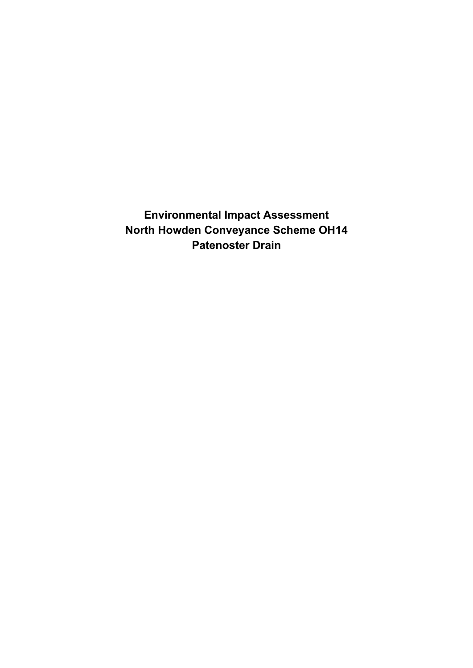**Environmental Impact Assessment North Howden Conveyance Scheme OH14 Patenoster Drain**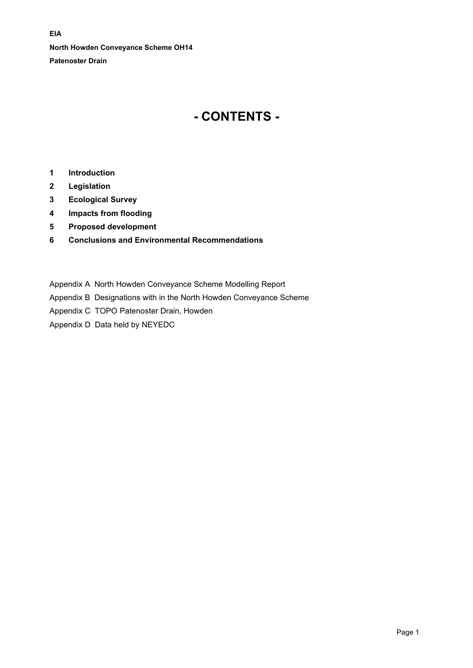**North Howden Conveyance Scheme OH14 Patenoster Drain**

# **- CONTENTS -**

- **1 [Introduction](#page-2-0)**
- **2 [Legislation](#page-2-1)**
- **3 [Ecological Survey](#page-5-0)**
- **4 [Impacts from flooding](#page-6-0)**
- **5 [Proposed development](#page-7-0)**
- **6 [Conclusions and Environmental Recommendations](#page-7-1)**
- Appendix A North Howden Conveyance Scheme Modelling Report
- Appendix B Designations with in the North Howden Conveyance Scheme
- Appendix C TOPO Patenoster Drain, Howden
- Appendix D Data held by NEYEDC

## **EIA**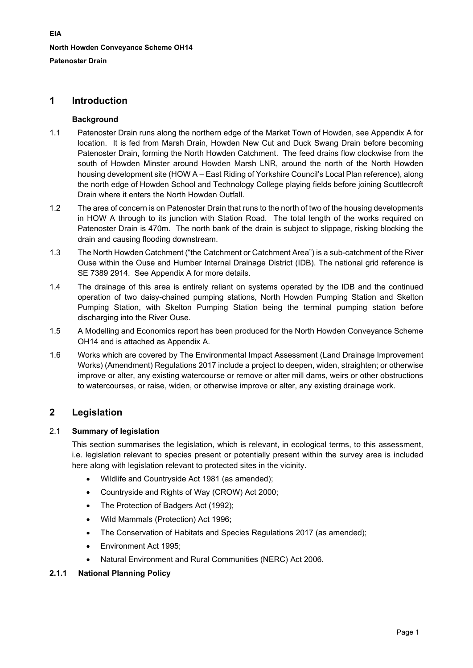# <span id="page-2-0"></span>**1 Introduction**

# **Background**

- 1.1 Patenoster Drain runs along the northern edge of the Market Town of Howden, see Appendix A for location. It is fed from Marsh Drain, Howden New Cut and Duck Swang Drain before becoming Patenoster Drain, forming the North Howden Catchment. The feed drains flow clockwise from the south of Howden Minster around Howden Marsh LNR, around the north of the North Howden housing development site (HOW A – East Riding of Yorkshire Council's Local Plan reference), along the north edge of Howden School and Technology College playing fields before joining Scuttlecroft Drain where it enters the North Howden Outfall.
- 1.2 The area of concern is on Patenoster Drain that runs to the north of two of the housing developments in HOW A through to its junction with Station Road. The total length of the works required on Patenoster Drain is 470m. The north bank of the drain is subject to slippage, risking blocking the drain and causing flooding downstream.
- 1.3 The North Howden Catchment ("the Catchment or Catchment Area") is a sub-catchment of the River Ouse within the Ouse and Humber Internal Drainage District (IDB). The national grid reference is SE 7389 2914. See Appendix A for more details.
- 1.4 The drainage of this area is entirely reliant on systems operated by the IDB and the continued operation of two daisy-chained pumping stations, North Howden Pumping Station and Skelton Pumping Station, with Skelton Pumping Station being the terminal pumping station before discharging into the River Ouse.
- 1.5 A Modelling and Economics report has been produced for the North Howden Conveyance Scheme OH14 and is attached as Appendix A.
- 1.6 Works which are covered by The Environmental Impact Assessment (Land Drainage Improvement Works) (Amendment) Regulations 2017 include a project to deepen, widen, straighten; or otherwise improve or alter, any existing watercourse or remove or alter mill dams, weirs or other obstructions to watercourses, or raise, widen, or otherwise improve or alter, any existing drainage work.

# <span id="page-2-1"></span>**2 Legislation**

# 2.1 **Summary of legislation**

This section summarises the legislation, which is relevant, in ecological terms, to this assessment, i.e. legislation relevant to species present or potentially present within the survey area is included here along with legislation relevant to protected sites in the vicinity.

- Wildlife and Countryside Act 1981 (as amended);
- Countryside and Rights of Way (CROW) Act 2000;
- The Protection of Badgers Act (1992);
- Wild Mammals (Protection) Act 1996;
- The Conservation of Habitats and Species Regulations 2017 (as amended);
- Environment Act 1995;
- Natural Environment and Rural Communities (NERC) Act 2006.

# **2.1.1 National Planning Policy**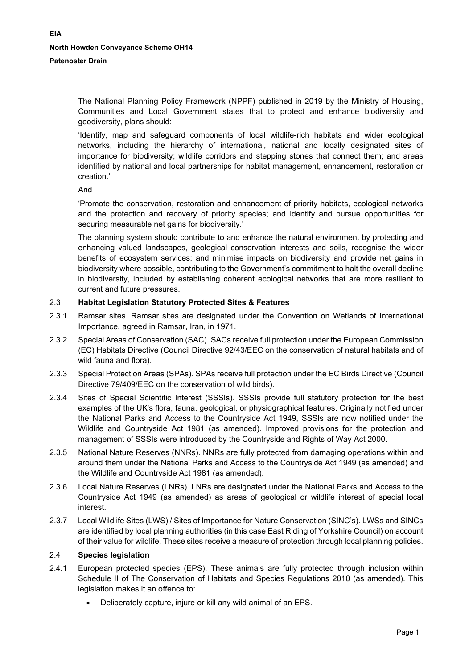The National Planning Policy Framework (NPPF) published in 2019 by the Ministry of Housing, Communities and Local Government states that to protect and enhance biodiversity and geodiversity, plans should:

'Identify, map and safeguard components of local wildlife-rich habitats and wider ecological networks, including the hierarchy of international, national and locally designated sites of importance for biodiversity; wildlife corridors and stepping stones that connect them; and areas identified by national and local partnerships for habitat management, enhancement, restoration or creation.'

And

'Promote the conservation, restoration and enhancement of priority habitats, ecological networks and the protection and recovery of priority species; and identify and pursue opportunities for securing measurable net gains for biodiversity.'

The planning system should contribute to and enhance the natural environment by protecting and enhancing valued landscapes, geological conservation interests and soils, recognise the wider benefits of ecosystem services; and minimise impacts on biodiversity and provide net gains in biodiversity where possible, contributing to the Government's commitment to halt the overall decline in biodiversity, included by establishing coherent ecological networks that are more resilient to current and future pressures.

# 2.3 **Habitat Legislation Statutory Protected Sites & Features**

- 2.3.1 Ramsar sites. Ramsar sites are designated under the Convention on Wetlands of International Importance, agreed in Ramsar, Iran, in 1971.
- 2.3.2 Special Areas of Conservation (SAC). SACs receive full protection under the European Commission (EC) Habitats Directive (Council Directive 92/43/EEC on the conservation of natural habitats and of wild fauna and flora).
- 2.3.3 Special Protection Areas (SPAs). SPAs receive full protection under the EC Birds Directive (Council Directive 79/409/EEC on the conservation of wild birds).
- 2.3.4 Sites of Special Scientific Interest (SSSIs). SSSIs provide full statutory protection for the best examples of the UK's flora, fauna, geological, or physiographical features. Originally notified under the National Parks and Access to the Countryside Act 1949, SSSIs are now notified under the Wildlife and Countryside Act 1981 (as amended). Improved provisions for the protection and management of SSSIs were introduced by the Countryside and Rights of Way Act 2000.
- 2.3.5 National Nature Reserves (NNRs). NNRs are fully protected from damaging operations within and around them under the National Parks and Access to the Countryside Act 1949 (as amended) and the Wildlife and Countryside Act 1981 (as amended).
- 2.3.6 Local Nature Reserves (LNRs). LNRs are designated under the National Parks and Access to the Countryside Act 1949 (as amended) as areas of geological or wildlife interest of special local interest.
- 2.3.7 Local Wildlife Sites (LWS) / Sites of Importance for Nature Conservation (SINC's). LWSs and SINCs are identified by local planning authorities (in this case East Riding of Yorkshire Council) on account of their value for wildlife. These sites receive a measure of protection through local planning policies.

# 2.4 **Species legislation**

- 2.4.1 European protected species (EPS). These animals are fully protected through inclusion within Schedule II of The Conservation of Habitats and Species Regulations 2010 (as amended). This legislation makes it an offence to:
	- Deliberately capture, injure or kill any wild animal of an EPS.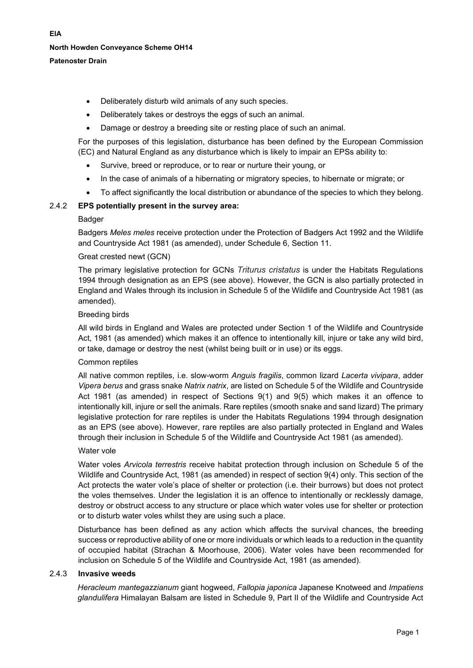# **Patenoster Drain**

- Deliberately disturb wild animals of any such species.
- Deliberately takes or destroys the eggs of such an animal.
- Damage or destroy a breeding site or resting place of such an animal.

For the purposes of this legislation, disturbance has been defined by the European Commission (EC) and Natural England as any disturbance which is likely to impair an EPSs ability to:

- Survive, breed or reproduce, or to rear or nurture their young, or
- In the case of animals of a hibernating or migratory species, to hibernate or migrate; or
- To affect significantly the local distribution or abundance of the species to which they belong.

#### 2.4.2 **EPS potentially present in the survey area:**

#### **Badger**

Badgers *Meles meles* receive protection under the Protection of Badgers Act 1992 and the Wildlife and Countryside Act 1981 (as amended), under Schedule 6, Section 11.

#### Great crested newt (GCN)

The primary legislative protection for GCNs *Triturus cristatus* is under the Habitats Regulations 1994 through designation as an EPS (see above). However, the GCN is also partially protected in England and Wales through its inclusion in Schedule 5 of the Wildlife and Countryside Act 1981 (as amended).

#### Breeding birds

All wild birds in England and Wales are protected under Section 1 of the Wildlife and Countryside Act, 1981 (as amended) which makes it an offence to intentionally kill, injure or take any wild bird, or take, damage or destroy the nest (whilst being built or in use) or its eggs.

# Common reptiles

All native common reptiles, i.e. slow-worm *Anguis fragilis*, common lizard *Lacerta vivipara*, adder *Vipera berus* and grass snake *Natrix natrix*, are listed on Schedule 5 of the Wildlife and Countryside Act 1981 (as amended) in respect of Sections 9(1) and 9(5) which makes it an offence to intentionally kill, injure or sell the animals. Rare reptiles (smooth snake and sand lizard) The primary legislative protection for rare reptiles is under the Habitats Regulations 1994 through designation as an EPS (see above). However, rare reptiles are also partially protected in England and Wales through their inclusion in Schedule 5 of the Wildlife and Countryside Act 1981 (as amended).

# Water vole

Water voles *Arvicola terrestris* receive habitat protection through inclusion on Schedule 5 of the Wildlife and Countryside Act, 1981 (as amended) in respect of section 9(4) only. This section of the Act protects the water vole's place of shelter or protection (i.e. their burrows) but does not protect the voles themselves. Under the legislation it is an offence to intentionally or recklessly damage, destroy or obstruct access to any structure or place which water voles use for shelter or protection or to disturb water voles whilst they are using such a place.

Disturbance has been defined as any action which affects the survival chances, the breeding success or reproductive ability of one or more individuals or which leads to a reduction in the quantity of occupied habitat (Strachan & Moorhouse, 2006). Water voles have been recommended for inclusion on Schedule 5 of the Wildlife and Countryside Act, 1981 (as amended).

## 2.4.3 **Invasive weeds**

*Heracleum mantegazzianum* giant hogweed, *Fallopia japonica* Japanese Knotweed and *Impatiens glandulifera* Himalayan Balsam are listed in Schedule 9, Part II of the Wildlife and Countryside Act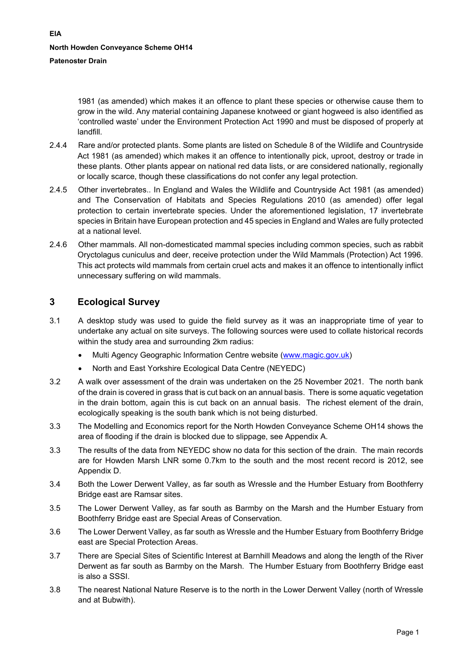1981 (as amended) which makes it an offence to plant these species or otherwise cause them to grow in the wild. Any material containing Japanese knotweed or giant hogweed is also identified as 'controlled waste' under the Environment Protection Act 1990 and must be disposed of properly at landfill.

- 2.4.4 Rare and/or protected plants. Some plants are listed on Schedule 8 of the Wildlife and Countryside Act 1981 (as amended) which makes it an offence to intentionally pick, uproot, destroy or trade in these plants. Other plants appear on national red data lists, or are considered nationally, regionally or locally scarce, though these classifications do not confer any legal protection.
- 2.4.5 Other invertebrates.. In England and Wales the Wildlife and Countryside Act 1981 (as amended) and The Conservation of Habitats and Species Regulations 2010 (as amended) offer legal protection to certain invertebrate species. Under the aforementioned legislation, 17 invertebrate species in Britain have European protection and 45 species in England and Wales are fully protected at a national level.
- 2.4.6 Other mammals. All non-domesticated mammal species including common species, such as rabbit Oryctolagus cuniculus and deer, receive protection under the Wild Mammals (Protection) Act 1996. This act protects wild mammals from certain cruel acts and makes it an offence to intentionally inflict unnecessary suffering on wild mammals.

# <span id="page-5-0"></span>**3 Ecological Survey**

- 3.1 A desktop study was used to guide the field survey as it was an inappropriate time of year to undertake any actual on site surveys. The following sources were used to collate historical records within the study area and surrounding 2km radius:
	- Multi Agency Geographic Information Centre website [\(www.magic.gov.uk\)](http://www.magic.gov.uk/)
	- North and East Yorkshire Ecological Data Centre (NEYEDC)
- 3.2 A walk over assessment of the drain was undertaken on the 25 November 2021. The north bank of the drain is covered in grass that is cut back on an annual basis. There is some aquatic vegetation in the drain bottom, again this is cut back on an annual basis. The richest element of the drain, ecologically speaking is the south bank which is not being disturbed.
- 3.3 The Modelling and Economics report for the North Howden Conveyance Scheme OH14 shows the area of flooding if the drain is blocked due to slippage, see Appendix A.
- 3.3 The results of the data from NEYEDC show no data for this section of the drain. The main records are for Howden Marsh LNR some 0.7km to the south and the most recent record is 2012, see Appendix D.
- 3.4 Both the Lower Derwent Valley, as far south as Wressle and the Humber Estuary from Boothferry Bridge east are Ramsar sites.
- 3.5 The Lower Derwent Valley, as far south as Barmby on the Marsh and the Humber Estuary from Boothferry Bridge east are Special Areas of Conservation.
- 3.6 The Lower Derwent Valley, as far south as Wressle and the Humber Estuary from Boothferry Bridge east are Special Protection Areas.
- 3.7 There are Special Sites of Scientific Interest at Barnhill Meadows and along the length of the River Derwent as far south as Barmby on the Marsh. The Humber Estuary from Boothferry Bridge east is also a SSSI.
- 3.8 The nearest National Nature Reserve is to the north in the Lower Derwent Valley (north of Wressle and at Bubwith).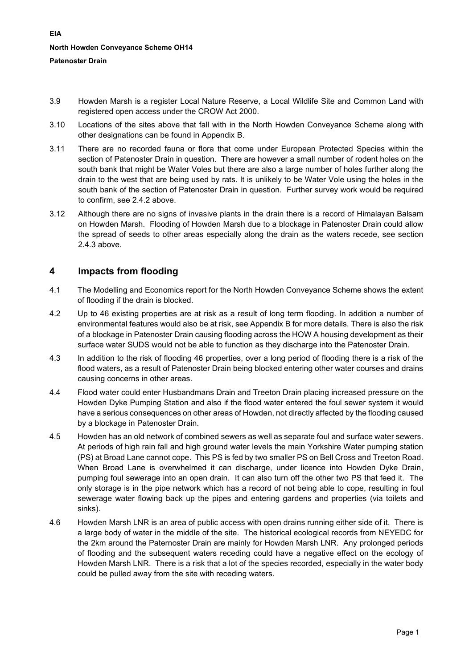- 3.9 Howden Marsh is a register Local Nature Reserve, a Local Wildlife Site and Common Land with registered open access under the CROW Act 2000.
- 3.10 Locations of the sites above that fall with in the North Howden Conveyance Scheme along with other designations can be found in Appendix B.
- 3.11 There are no recorded fauna or flora that come under European Protected Species within the section of Patenoster Drain in question. There are however a small number of rodent holes on the south bank that might be Water Voles but there are also a large number of holes further along the drain to the west that are being used by rats. It is unlikely to be Water Vole using the holes in the south bank of the section of Patenoster Drain in question. Further survey work would be required to confirm, see 2.4.2 above.
- 3.12 Although there are no signs of invasive plants in the drain there is a record of Himalayan Balsam on Howden Marsh. Flooding of Howden Marsh due to a blockage in Patenoster Drain could allow the spread of seeds to other areas especially along the drain as the waters recede, see section 2.4.3 above.

# <span id="page-6-0"></span>**4 Impacts from flooding**

- 4.1 The Modelling and Economics report for the North Howden Conveyance Scheme shows the extent of flooding if the drain is blocked.
- 4.2 Up to 46 existing properties are at risk as a result of long term flooding. In addition a number of environmental features would also be at risk, see Appendix B for more details. There is also the risk of a blockage in Patenoster Drain causing flooding across the HOW A housing development as their surface water SUDS would not be able to function as they discharge into the Patenoster Drain.
- 4.3 In addition to the risk of flooding 46 properties, over a long period of flooding there is a risk of the flood waters, as a result of Patenoster Drain being blocked entering other water courses and drains causing concerns in other areas.
- 4.4 Flood water could enter Husbandmans Drain and Treeton Drain placing increased pressure on the Howden Dyke Pumping Station and also if the flood water entered the foul sewer system it would have a serious consequences on other areas of Howden, not directly affected by the flooding caused by a blockage in Patenoster Drain.
- 4.5 Howden has an old network of combined sewers as well as separate foul and surface water sewers. At periods of high rain fall and high ground water levels the main Yorkshire Water pumping station (PS) at Broad Lane cannot cope. This PS is fed by two smaller PS on Bell Cross and Treeton Road. When Broad Lane is overwhelmed it can discharge, under licence into Howden Dyke Drain, pumping foul sewerage into an open drain. It can also turn off the other two PS that feed it. The only storage is in the pipe network which has a record of not being able to cope, resulting in foul sewerage water flowing back up the pipes and entering gardens and properties (via toilets and sinks).
- 4.6 Howden Marsh LNR is an area of public access with open drains running either side of it. There is a large body of water in the middle of the site. The historical ecological records from NEYEDC for the 2km around the Paternoster Drain are mainly for Howden Marsh LNR. Any prolonged periods of flooding and the subsequent waters receding could have a negative effect on the ecology of Howden Marsh LNR. There is a risk that a lot of the species recorded, especially in the water body could be pulled away from the site with receding waters.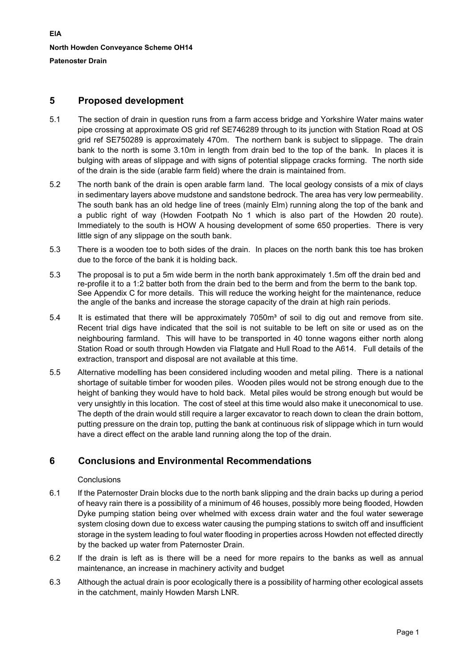**EIA North Howden Conveyance Scheme OH14 Patenoster Drain**

# <span id="page-7-0"></span>**5 Proposed development**

- 5.1 The section of drain in question runs from a farm access bridge and Yorkshire Water mains water pipe crossing at approximate OS grid ref SE746289 through to its junction with Station Road at OS grid ref SE750289 is approximately 470m. The northern bank is subject to slippage. The drain bank to the north is some 3.10m in length from drain bed to the top of the bank. In places it is bulging with areas of slippage and with signs of potential slippage cracks forming. The north side of the drain is the side (arable farm field) where the drain is maintained from.
- 5.2 The north bank of the drain is open arable farm land. The local geology consists of a mix of clays in sedimentary layers above mudstone and sandstone bedrock. The area has very low permeability. The south bank has an old hedge line of trees (mainly Elm) running along the top of the bank and a public right of way (Howden Footpath No 1 which is also part of the Howden 20 route). Immediately to the south is HOW A housing development of some 650 properties. There is very little sign of any slippage on the south bank.
- 5.3 There is a wooden toe to both sides of the drain. In places on the north bank this toe has broken due to the force of the bank it is holding back.
- 5.3 The proposal is to put a 5m wide berm in the north bank approximately 1.5m off the drain bed and re-profile it to a 1:2 batter both from the drain bed to the berm and from the berm to the bank top. See Appendix C for more details. This will reduce the working height for the maintenance, reduce the angle of the banks and increase the storage capacity of the drain at high rain periods.
- 5.4 It is estimated that there will be approximately 7050m<sup>3</sup> of soil to dig out and remove from site. Recent trial digs have indicated that the soil is not suitable to be left on site or used as on the neighbouring farmland. This will have to be transported in 40 tonne wagons either north along Station Road or south through Howden via Flatgate and Hull Road to the A614. Full details of the extraction, transport and disposal are not available at this time.
- 5.5 Alternative modelling has been considered including wooden and metal piling. There is a national shortage of suitable timber for wooden piles. Wooden piles would not be strong enough due to the height of banking they would have to hold back. Metal piles would be strong enough but would be very unsightly in this location. The cost of steel at this time would also make it uneconomical to use. The depth of the drain would still require a larger excavator to reach down to clean the drain bottom, putting pressure on the drain top, putting the bank at continuous risk of slippage which in turn would have a direct effect on the arable land running along the top of the drain.

# <span id="page-7-1"></span>**6 Conclusions and Environmental Recommendations**

# **Conclusions**

- 6.1 If the Paternoster Drain blocks due to the north bank slipping and the drain backs up during a period of heavy rain there is a possibility of a minimum of 46 houses, possibly more being flooded, Howden Dyke pumping station being over whelmed with excess drain water and the foul water sewerage system closing down due to excess water causing the pumping stations to switch off and insufficient storage in the system leading to foul water flooding in properties across Howden not effected directly by the backed up water from Paternoster Drain.
- 6.2 If the drain is left as is there will be a need for more repairs to the banks as well as annual maintenance, an increase in machinery activity and budget
- 6.3 Although the actual drain is poor ecologically there is a possibility of harming other ecological assets in the catchment, mainly Howden Marsh LNR.